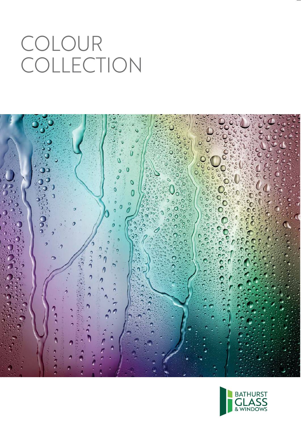## COLOUR COLLECTION



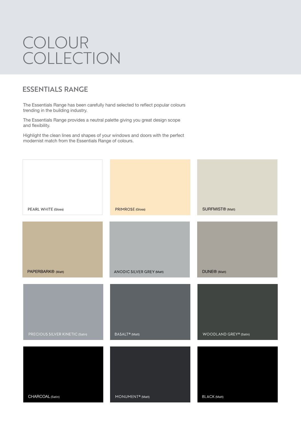## COLOUR COLLECTION

## **ESSENTIALS RANGE**

The Essentials Range has been carefully hand selected to reflect popular colours trending in the building industry.

The Essentials Range provides a neutral palette giving you great design scope and flexibility.

Highlight the clean lines and shapes of your windows and doors with the perfect modernist match from the Essentials Range of colours.

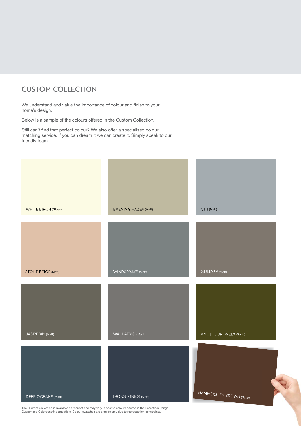## **CUSTOM COLLECTION**

We understand and value the importance of colour and finish to your home's design.

Below is a sample of the colours offered in the Custom Collection.

Still can't find that perfect colour? We also offer a specialised colour matching service. If you can dream it we can create it. Simply speak to our friendly team.



The Custom Collection is available on request and may vary in cost to colours offered in the Essentials Range. Guaranteed Colorbond® compatible. Colour swatches are a guide only due to reproduction constraints.